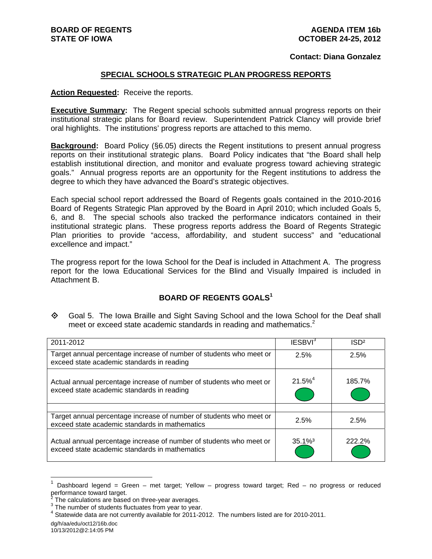#### **Contact: Diana Gonzalez**

#### **SPECIAL SCHOOLS STRATEGIC PLAN PROGRESS REPORTS**

**Action Requested:** Receive the reports.

**Executive Summary:** The Regent special schools submitted annual progress reports on their institutional strategic plans for Board review. Superintendent Patrick Clancy will provide brief oral highlights. The institutions' progress reports are attached to this memo.

**Background:** Board Policy (§6.05) directs the Regent institutions to present annual progress reports on their institutional strategic plans. Board Policy indicates that "the Board shall help establish institutional direction, and monitor and evaluate progress toward achieving strategic goals." Annual progress reports are an opportunity for the Regent institutions to address the degree to which they have advanced the Board's strategic objectives.

Each special school report addressed the Board of Regents goals contained in the 2010-2016 Board of Regents Strategic Plan approved by the Board in April 2010; which included Goals 5, 6, and 8. The special schools also tracked the performance indicators contained in their institutional strategic plans. These progress reports address the Board of Regents Strategic Plan priorities to provide "access, affordability, and student success" and "educational excellence and impact."

The progress report for the Iowa School for the Deaf is included in Attachment A. The progress report for the Iowa Educational Services for the Blind and Visually Impaired is included in Attachment B.

#### **BOARD OF REGENTS GOALS<sup>1</sup>**

 Goal 5. The Iowa Braille and Sight Saving School and the Iowa School for the Deaf shall meet or exceed state academic standards in reading and mathematics.<sup>2</sup>

| 2011-2012                                                                                                             | IESBVI <sup>3</sup>   | ISD <sup>2</sup> |
|-----------------------------------------------------------------------------------------------------------------------|-----------------------|------------------|
| Target annual percentage increase of number of students who meet or<br>exceed state academic standards in reading     | 2.5%                  | 2.5%             |
| Actual annual percentage increase of number of students who meet or<br>exceed state academic standards in reading     | $21.5%^{4}$           | 185.7%           |
|                                                                                                                       |                       |                  |
| Target annual percentage increase of number of students who meet or<br>exceed state academic standards in mathematics | 2.5%                  | 2.5%             |
| Actual annual percentage increase of number of students who meet or<br>exceed state academic standards in mathematics | $35.1\%$ <sup>3</sup> | 222.2%           |

<sup>1</sup> Dashboard legend = Green – met target; Yellow – progress toward target; Red – no progress or reduced performance toward target.<br><sup>2</sup> The coloulations are based

 $\overline{a}$ 

The calculations are based on three-year averages.

 $3$  The number of students fluctuates from year to year.

<sup>&</sup>lt;sup>4</sup> Statewide data are not currently available for 2011-2012. The numbers listed are for 2010-2011.

dg/h/aa/edu/oct12/16b.doc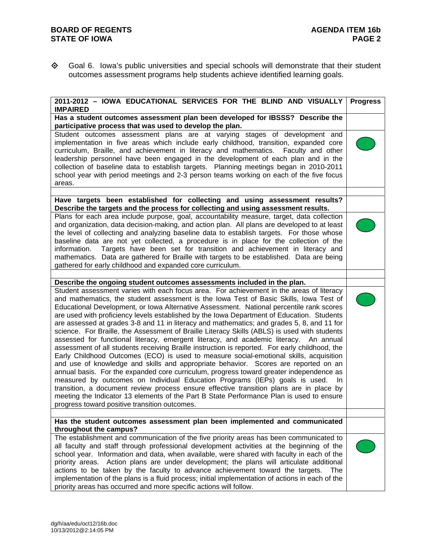Goal 6. Iowa's public universities and special schools will demonstrate that their student outcomes assessment programs help students achieve identified learning goals.

| 2011-2012 - IOWA EDUCATIONAL SERVICES FOR THE BLIND AND VISUALLY<br><b>IMPAIRED</b>                                                                                                                                                                                                                                                                                                                                                                                                                                                                                                                                                                                                                                                                                                                                                                                                                                                                                                                                                                                                                                                                                                                                                                                                                                                                                             | <b>Progress</b> |
|---------------------------------------------------------------------------------------------------------------------------------------------------------------------------------------------------------------------------------------------------------------------------------------------------------------------------------------------------------------------------------------------------------------------------------------------------------------------------------------------------------------------------------------------------------------------------------------------------------------------------------------------------------------------------------------------------------------------------------------------------------------------------------------------------------------------------------------------------------------------------------------------------------------------------------------------------------------------------------------------------------------------------------------------------------------------------------------------------------------------------------------------------------------------------------------------------------------------------------------------------------------------------------------------------------------------------------------------------------------------------------|-----------------|
| Has a student outcomes assessment plan been developed for IBSSS? Describe the<br>participative process that was used to develop the plan.                                                                                                                                                                                                                                                                                                                                                                                                                                                                                                                                                                                                                                                                                                                                                                                                                                                                                                                                                                                                                                                                                                                                                                                                                                       |                 |
| Student outcomes assessment plans are at varying stages of development and<br>implementation in five areas which include early childhood, transition, expanded core<br>curriculum, Braille, and achievement in literacy and mathematics. Faculty and other<br>leadership personnel have been engaged in the development of each plan and in the<br>collection of baseline data to establish targets. Planning meetings began in 2010-2011<br>school year with period meetings and 2-3 person teams working on each of the five focus<br>areas.                                                                                                                                                                                                                                                                                                                                                                                                                                                                                                                                                                                                                                                                                                                                                                                                                                  |                 |
|                                                                                                                                                                                                                                                                                                                                                                                                                                                                                                                                                                                                                                                                                                                                                                                                                                                                                                                                                                                                                                                                                                                                                                                                                                                                                                                                                                                 |                 |
| Have targets been established for collecting and using assessment results?<br>Describe the targets and the process for collecting and using assessment results.                                                                                                                                                                                                                                                                                                                                                                                                                                                                                                                                                                                                                                                                                                                                                                                                                                                                                                                                                                                                                                                                                                                                                                                                                 |                 |
| Plans for each area include purpose, goal, accountability measure, target, data collection<br>and organization, data decision-making, and action plan. All plans are developed to at least<br>the level of collecting and analyzing baseline data to establish targets. For those whose<br>baseline data are not yet collected, a procedure is in place for the collection of the<br>Targets have been set for transition and achievement in literacy and<br>information.<br>mathematics. Data are gathered for Braille with targets to be established. Data are being<br>gathered for early childhood and expanded core curriculum.                                                                                                                                                                                                                                                                                                                                                                                                                                                                                                                                                                                                                                                                                                                                            |                 |
| Describe the ongoing student outcomes assessments included in the plan.                                                                                                                                                                                                                                                                                                                                                                                                                                                                                                                                                                                                                                                                                                                                                                                                                                                                                                                                                                                                                                                                                                                                                                                                                                                                                                         |                 |
| Student assessment varies with each focus area. For achievement in the areas of literacy<br>and mathematics, the student assessment is the lowa Test of Basic Skills, lowa Test of<br>Educational Development, or Iowa Alternative Assessment. National percentile rank scores<br>are used with proficiency levels established by the Iowa Department of Education. Students<br>are assessed at grades 3-8 and 11 in literacy and mathematics; and grades 5, 8, and 11 for<br>science. For Braille, the Assessment of Braille Literacy Skills (ABLS) is used with students<br>assessed for functional literacy, emergent literacy, and academic literacy. An annual<br>assessment of all students receiving Braille instruction is reported. For early childhood, the<br>Early Childhood Outcomes (ECO) is used to measure social-emotional skills, acquisition<br>and use of knowledge and skills and appropriate behavior. Scores are reported on an<br>annual basis. For the expanded core curriculum, progress toward greater independence as<br>measured by outcomes on Individual Education Programs (IEPs) goals is used.<br>In.<br>transition, a document review process ensure effective transition plans are in place by<br>meeting the Indicator 13 elements of the Part B State Performance Plan is used to ensure<br>progress toward positive transition outcomes. |                 |
| Has the student outcomes assessment plan been implemented and communicated                                                                                                                                                                                                                                                                                                                                                                                                                                                                                                                                                                                                                                                                                                                                                                                                                                                                                                                                                                                                                                                                                                                                                                                                                                                                                                      |                 |
| throughout the campus?                                                                                                                                                                                                                                                                                                                                                                                                                                                                                                                                                                                                                                                                                                                                                                                                                                                                                                                                                                                                                                                                                                                                                                                                                                                                                                                                                          |                 |
| The establishment and communication of the five priority areas has been communicated to<br>all faculty and staff through professional development activities at the beginning of the<br>school year. Information and data, when available, were shared with faculty in each of the<br>priority areas. Action plans are under development; the plans will articulate additional<br>actions to be taken by the faculty to advance achievement toward the targets.<br>The<br>implementation of the plans is a fluid process; initial implementation of actions in each of the<br>priority areas has occurred and more specific actions will follow.                                                                                                                                                                                                                                                                                                                                                                                                                                                                                                                                                                                                                                                                                                                                |                 |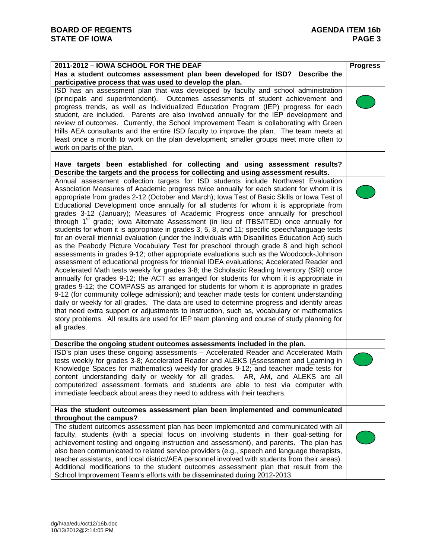| 2011-2012 - IOWA SCHOOL FOR THE DEAF                                                                                                                                                                                                                                                                                                                                                                                                                                                                                                                                                                                                                                                                                                                                                                                                                                                                                                                                                                                                                                                                                                                                                                                                                                                                                                                                                                                                                                                                                                                                                                                                                                                                                                         | <b>Progress</b> |
|----------------------------------------------------------------------------------------------------------------------------------------------------------------------------------------------------------------------------------------------------------------------------------------------------------------------------------------------------------------------------------------------------------------------------------------------------------------------------------------------------------------------------------------------------------------------------------------------------------------------------------------------------------------------------------------------------------------------------------------------------------------------------------------------------------------------------------------------------------------------------------------------------------------------------------------------------------------------------------------------------------------------------------------------------------------------------------------------------------------------------------------------------------------------------------------------------------------------------------------------------------------------------------------------------------------------------------------------------------------------------------------------------------------------------------------------------------------------------------------------------------------------------------------------------------------------------------------------------------------------------------------------------------------------------------------------------------------------------------------------|-----------------|
| Has a student outcomes assessment plan been developed for ISD? Describe the                                                                                                                                                                                                                                                                                                                                                                                                                                                                                                                                                                                                                                                                                                                                                                                                                                                                                                                                                                                                                                                                                                                                                                                                                                                                                                                                                                                                                                                                                                                                                                                                                                                                  |                 |
| participative process that was used to develop the plan.                                                                                                                                                                                                                                                                                                                                                                                                                                                                                                                                                                                                                                                                                                                                                                                                                                                                                                                                                                                                                                                                                                                                                                                                                                                                                                                                                                                                                                                                                                                                                                                                                                                                                     |                 |
| ISD has an assessment plan that was developed by faculty and school administration<br>(principals and superintendent). Outcomes assessments of student achievement and<br>progress trends, as well as Individualized Education Program (IEP) progress for each<br>student, are included. Parents are also involved annually for the IEP development and<br>review of outcomes. Currently, the School Improvement Team is collaborating with Green<br>Hills AEA consultants and the entire ISD faculty to improve the plan. The team meets at<br>least once a month to work on the plan development; smaller groups meet more often to<br>work on parts of the plan.                                                                                                                                                                                                                                                                                                                                                                                                                                                                                                                                                                                                                                                                                                                                                                                                                                                                                                                                                                                                                                                                          |                 |
|                                                                                                                                                                                                                                                                                                                                                                                                                                                                                                                                                                                                                                                                                                                                                                                                                                                                                                                                                                                                                                                                                                                                                                                                                                                                                                                                                                                                                                                                                                                                                                                                                                                                                                                                              |                 |
| Have targets been established for collecting and using assessment results?<br>Describe the targets and the process for collecting and using assessment results.                                                                                                                                                                                                                                                                                                                                                                                                                                                                                                                                                                                                                                                                                                                                                                                                                                                                                                                                                                                                                                                                                                                                                                                                                                                                                                                                                                                                                                                                                                                                                                              |                 |
| Annual assessment collection targets for ISD students include Northwest Evaluation<br>Association Measures of Academic progress twice annually for each student for whom it is<br>appropriate from grades 2-12 (October and March); lowa Test of Basic Skills or lowa Test of<br>Educational Development once annually for all students for whom it is appropriate from<br>grades 3-12 (January); Measures of Academic Progress once annually for preschool<br>through 1 <sup>st</sup> grade; lowa Alternate Assessment (in lieu of ITBS/ITED) once annually for<br>students for whom it is appropriate in grades 3, 5, 8, and 11; specific speech/language tests<br>for an overall triennial evaluation (under the Individuals with Disabilities Education Act) such<br>as the Peabody Picture Vocabulary Test for preschool through grade 8 and high school<br>assessments in grades 9-12; other appropriate evaluations such as the Woodcock-Johnson<br>assessment of educational progress for triennial IDEA evaluations; Accelerated Reader and<br>Accelerated Math tests weekly for grades 3-8; the Scholastic Reading Inventory (SRI) once<br>annually for grades 9-12; the ACT as arranged for students for whom it is appropriate in<br>grades 9-12; the COMPASS as arranged for students for whom it is appropriate in grades<br>9-12 (for community college admission); and teacher made tests for content understanding<br>daily or weekly for all grades. The data are used to determine progress and identify areas<br>that need extra support or adjustments to instruction, such as, vocabulary or mathematics<br>story problems. All results are used for IEP team planning and course of study planning for<br>all grades. |                 |
|                                                                                                                                                                                                                                                                                                                                                                                                                                                                                                                                                                                                                                                                                                                                                                                                                                                                                                                                                                                                                                                                                                                                                                                                                                                                                                                                                                                                                                                                                                                                                                                                                                                                                                                                              |                 |
| Describe the ongoing student outcomes assessments included in the plan.                                                                                                                                                                                                                                                                                                                                                                                                                                                                                                                                                                                                                                                                                                                                                                                                                                                                                                                                                                                                                                                                                                                                                                                                                                                                                                                                                                                                                                                                                                                                                                                                                                                                      |                 |
| ISD's plan uses these ongoing assessments - Accelerated Reader and Accelerated Math<br>tests weekly for grades 3-8; Accelerated Reader and ALEKS (Assessment and Learning in<br>Knowledge Spaces for mathematics) weekly for grades 9-12; and teacher made tests for<br>content understanding daily or weekly for all grades. AR, AM, and ALEKS are all<br>computerized assessment formats and students are able to test via computer with<br>immediate feedback about areas they need to address with their teachers.                                                                                                                                                                                                                                                                                                                                                                                                                                                                                                                                                                                                                                                                                                                                                                                                                                                                                                                                                                                                                                                                                                                                                                                                                       |                 |
| Has the student outcomes assessment plan been implemented and communicated                                                                                                                                                                                                                                                                                                                                                                                                                                                                                                                                                                                                                                                                                                                                                                                                                                                                                                                                                                                                                                                                                                                                                                                                                                                                                                                                                                                                                                                                                                                                                                                                                                                                   |                 |
| throughout the campus?                                                                                                                                                                                                                                                                                                                                                                                                                                                                                                                                                                                                                                                                                                                                                                                                                                                                                                                                                                                                                                                                                                                                                                                                                                                                                                                                                                                                                                                                                                                                                                                                                                                                                                                       |                 |
| The student outcomes assessment plan has been implemented and communicated with all<br>faculty, students (with a special focus on involving students in their goal-setting for<br>achievement testing and ongoing instruction and assessment), and parents. The plan has<br>also been communicated to related service providers (e.g., speech and language therapists,<br>teacher assistants, and local district/AEA personnel involved with students from their areas).<br>Additional modifications to the student outcomes assessment plan that result from the<br>School Improvement Team's efforts with be disseminated during 2012-2013.                                                                                                                                                                                                                                                                                                                                                                                                                                                                                                                                                                                                                                                                                                                                                                                                                                                                                                                                                                                                                                                                                                |                 |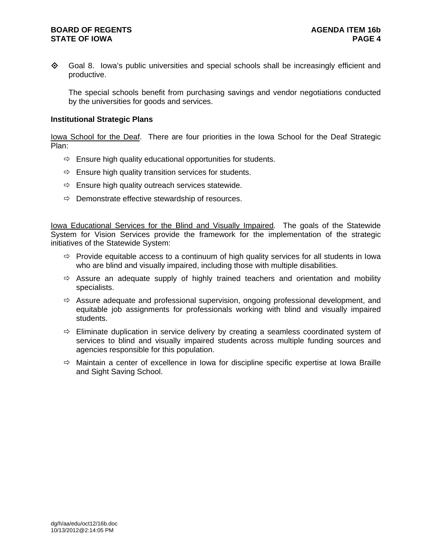### **BOARD OF REGENTS AGENUS AGENDA ITEM 16b STATE OF IOWA** PAGE 4

◆ Goal 8. Iowa's public universities and special schools shall be increasingly efficient and productive.

The special schools benefit from purchasing savings and vendor negotiations conducted by the universities for goods and services.

#### **Institutional Strategic Plans**

Iowa School for the Deaf. There are four priorities in the Iowa School for the Deaf Strategic Plan:

- $\Rightarrow$  Ensure high quality educational opportunities for students.
- $\Rightarrow$  Ensure high quality transition services for students.
- $\Rightarrow$  Ensure high quality outreach services statewide.
- $\Rightarrow$  Demonstrate effective stewardship of resources.

Iowa Educational Services for the **Blind and Visually Impaired**. The goals of the Statewide System for Vision Services provide the framework for the implementation of the strategic initiatives of the Statewide System:

- $\Rightarrow$  Provide equitable access to a continuum of high quality services for all students in Iowa who are blind and visually impaired, including those with multiple disabilities.
- $\Rightarrow$  Assure an adequate supply of highly trained teachers and orientation and mobility specialists.
- $\Rightarrow$  Assure adequate and professional supervision, ongoing professional development, and equitable job assignments for professionals working with blind and visually impaired students.
- $\Rightarrow$  Eliminate duplication in service delivery by creating a seamless coordinated system of services to blind and visually impaired students across multiple funding sources and agencies responsible for this population.
- $\Rightarrow$  Maintain a center of excellence in Iowa for discipline specific expertise at Iowa Braille and Sight Saving School.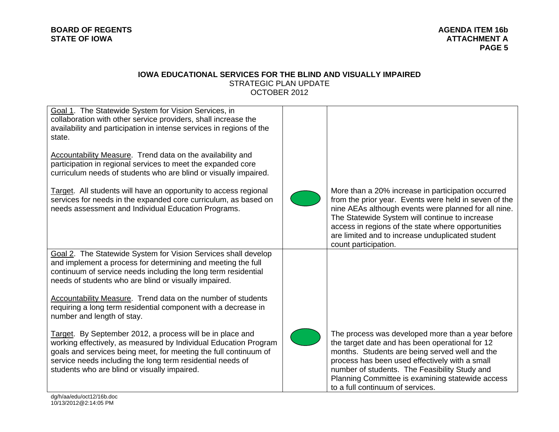#### **IOWA EDUCATIONAL SERVICES FOR THE BLIND AND VISUALLY IMPAIRED**  STRATEGIC PLAN UPDATE OCTOBER 2012

| Goal 1. The Statewide System for Vision Services, in<br>collaboration with other service providers, shall increase the<br>availability and participation in intense services in regions of the<br>state.<br><b>Accountability Measure.</b> Trend data on the availability and<br>participation in regional services to meet the expanded core<br>curriculum needs of students who are blind or visually impaired.<br>Target. All students will have an opportunity to access regional<br>services for needs in the expanded core curriculum, as based on<br>needs assessment and Individual Education Programs.<br>Goal 2. The Statewide System for Vision Services shall develop | More than a 20% increase in participation occurred<br>from the prior year. Events were held in seven of the<br>nine AEAs although events were planned for all nine.<br>The Statewide System will continue to increase<br>access in regions of the state where opportunities<br>are limited and to increase unduplicated student<br>count participation. |
|-----------------------------------------------------------------------------------------------------------------------------------------------------------------------------------------------------------------------------------------------------------------------------------------------------------------------------------------------------------------------------------------------------------------------------------------------------------------------------------------------------------------------------------------------------------------------------------------------------------------------------------------------------------------------------------|---------------------------------------------------------------------------------------------------------------------------------------------------------------------------------------------------------------------------------------------------------------------------------------------------------------------------------------------------------|
| and implement a process for determining and meeting the full<br>continuum of service needs including the long term residential<br>needs of students who are blind or visually impaired.                                                                                                                                                                                                                                                                                                                                                                                                                                                                                           |                                                                                                                                                                                                                                                                                                                                                         |
| <b>Accountability Measure.</b> Trend data on the number of students<br>requiring a long term residential component with a decrease in<br>number and length of stay.                                                                                                                                                                                                                                                                                                                                                                                                                                                                                                               |                                                                                                                                                                                                                                                                                                                                                         |
| Target. By September 2012, a process will be in place and<br>working effectively, as measured by Individual Education Program<br>goals and services being meet, for meeting the full continuum of<br>service needs including the long term residential needs of<br>students who are blind or visually impaired.                                                                                                                                                                                                                                                                                                                                                                   | The process was developed more than a year before<br>the target date and has been operational for 12<br>months. Students are being served well and the<br>process has been used effectively with a small<br>number of students. The Feasibility Study and<br>Planning Committee is examining statewide access<br>to a full continuum of services.       |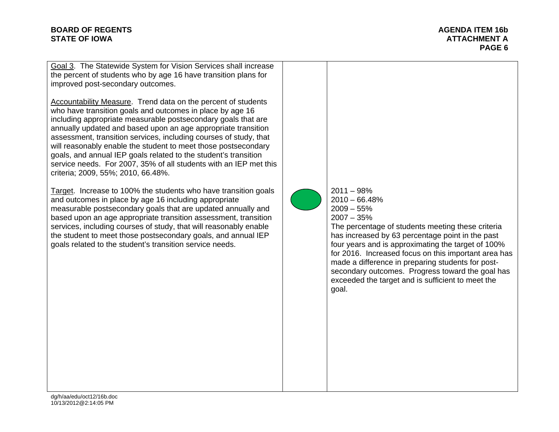# **BOARD OF REGENTS** AGENDA ITEM 16b **STATE OF IOWA ATTACHMENT A**

**PAGE 6** 

Goal 3. The Statewide System for Vision Services shall increase the percent of students who by age 16 have transition plans for improved post-secondary outcomes.

Accountability Measure. Trend data on the percent of students who have transition goals and outcomes in place by age 16 including appropriate measurable postsecondary goals that are annually updated and based upon an age appropriate transition assessment, transition services, including courses of study, that will reasonably enable the student to meet those postsecondary goals, and annual IEP goals related to the student's transition service needs. For 2007, 35% of all students with an IEP met this criteria; 2009, 55%; 2010, 66.48%.

Target. Increase to 100% the students who have transition goals and outcomes in place by age 16 including appropriate measurable postsecondary goals that are updated annually and based upon an age appropriate transition assessment, transition services, including courses of study, that will reasonably enable the student to meet those postsecondary goals, and annual IEP goals related to the student's transition service needs.

2011 – 98% 2010 – 66.48%  $2009 - 55\%$ 2007 – 35%

The percentage of students meeting these criteria has increased by 63 percentage point in the past four years and is approximating the target of 100% for 2016. Increased focus on this important area has made a difference in preparing students for postsecondary outcomes. Progress toward the goal has exceeded the target and is sufficient to meet the goal.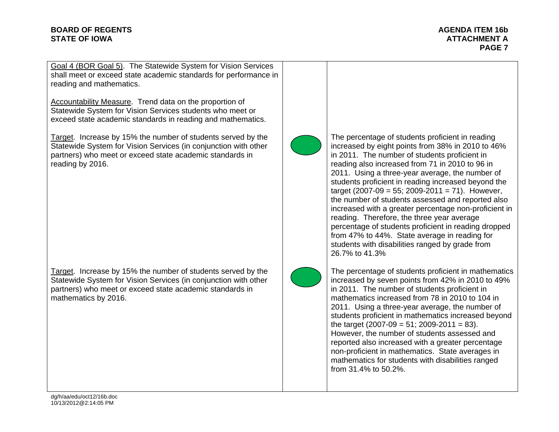# **BOARD OF REGENTS** AGENDA ITEM 16b **STATE OF IOWA ATTACHMENT A**

**PAGE 7** 

Goal 4 (BOR Goal 5). The Statewide System for Vision Services shall meet or exceed state academic standards for performance in reading and mathematics.

Accountability Measure. Trend data on the proportion of Statewide System for Vision Services students who meet or exceed state academic standards in reading and mathematics.

Target. Increase by 15% the number of students served by the Statewide System for Vision Services (in conjunction with other partners) who meet or exceed state academic standards in reading by 2016.

Target. Increase by 15% the number of students served by the Statewide System for Vision Services (in conjunction with other partners) who meet or exceed state academic standards in mathematics by 2016.



The percentage of students proficient in reading increased by eight points from 38% in 2010 to 46% in 2011. The number of students proficient in reading also increased from 71 in 2010 to 96 in 2011. Using a three-year average, the number of students proficient in reading increased beyond the target (2007-09 = 55; 2009-2011 = 71). However, the number of students assessed and reported also increased with a greater percentage non-proficient in reading. Therefore, the three year average percentage of students proficient in reading dropped from 47% to 44%. State average in reading for students with disabilities ranged by grade from 26.7% to 41.3%



The percentage of students proficient in mathematics increased by seven points from 42% in 2010 to 49% in 2011. The number of students proficient in mathematics increased from 78 in 2010 to 104 in 2011. Using a three-year average, the number of students proficient in mathematics increased beyond the target  $(2007-09 = 51; 2009-2011 = 83)$ . However, the number of students assessed and reported also increased with a greater percentage non-proficient in mathematics. State averages in mathematics for students with disabilities ranged from 31.4% to 50.2%.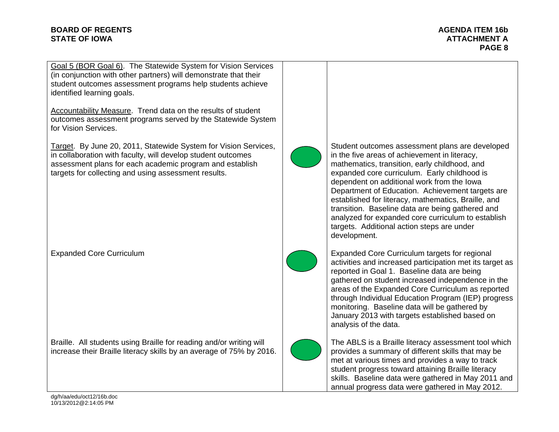# **BOARD OF REGENTS** AGENDA ITEM 16b **STATE OF IOWA ATTACHMENT A**  $\blacksquare$

**PAGE 8** 

Goal 5 (BOR Goal 6). The Statewide System for Vision Services (in conjunction with other partners) will demonstrate that their student outcomes assessment programs help students achieve identified learning goals.

Accountability Measure. Trend data on the results of student outcomes assessment programs served by the Statewide System for Vision Services.

Target. By June 20, 2011, Statewide System for Vision Services, in collaboration with faculty, will develop student outcomes assessment plans for each academic program and establish targets for collecting and using assessment results.

Expanded Core Curriculum

Braille. All students using Braille for reading and/or writing will increase their Braille literacy skills by an average of 75% by 2016.



Student outcomes assessment plans are developed in the five areas of achievement in literacy, mathematics, transition, early childhood, and expanded core curriculum. Early childhood is dependent on additional work from the Iowa Department of Education. Achievement targets are established for literacy, mathematics, Braille, and transition. Baseline data are being gathered and analyzed for expanded core curriculum to establish targets. Additional action steps are under development.



Expanded Core Curriculum targets for regional activities and increased participation met its target as reported in Goal 1. Baseline data are being gathered on student increased independence in the areas of the Expanded Core Curriculum as reported through Individual Education Program (IEP) progress monitoring. Baseline data will be gathered by January 2013 with targets established based on analysis of the data.



The ABLS is a Braille literacy assessment tool which provides a summary of different skills that may be met at various times and provides a way to track student progress toward attaining Braille literacy skills. Baseline data were gathered in May 2011 and annual progress data were gathered in May 2012.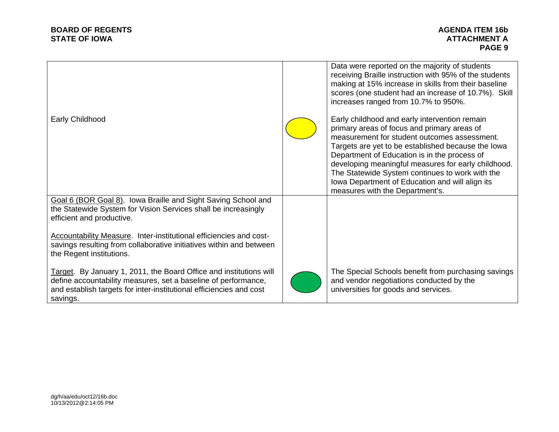| Early Childhood                                                                                                                                                                                                         | Data were reported on the majority of students<br>receiving Braille instruction with 95% of the students<br>making at 15% increase in skills from their baseline<br>scores (one student had an increase of 10.7%). Skill<br>increases ranged from 10.7% to 950%.<br>Early childhood and early intervention remain<br>primary areas of focus and primary areas of<br>measurement for student outcomes assessment.<br>Targets are yet to be established because the lowa<br>Department of Education is in the process of<br>developing meaningful measures for early childhood.<br>The Statewide System continues to work with the<br>Iowa Department of Education and will align its<br>measures with the Department's. |
|-------------------------------------------------------------------------------------------------------------------------------------------------------------------------------------------------------------------------|------------------------------------------------------------------------------------------------------------------------------------------------------------------------------------------------------------------------------------------------------------------------------------------------------------------------------------------------------------------------------------------------------------------------------------------------------------------------------------------------------------------------------------------------------------------------------------------------------------------------------------------------------------------------------------------------------------------------|
| Goal 6 (BOR Goal 8). Iowa Braille and Sight Saving School and<br>the Statewide System for Vision Services shall be increasingly<br>efficient and productive.                                                            |                                                                                                                                                                                                                                                                                                                                                                                                                                                                                                                                                                                                                                                                                                                        |
| Accountability Measure. Inter-institutional efficiencies and cost-<br>savings resulting from collaborative initiatives within and between<br>the Regent institutions.                                                   |                                                                                                                                                                                                                                                                                                                                                                                                                                                                                                                                                                                                                                                                                                                        |
| Target. By January 1, 2011, the Board Office and institutions will<br>define accountability measures, set a baseline of performance,<br>and establish targets for inter-institutional efficiencies and cost<br>savings. | The Special Schools benefit from purchasing savings<br>and vendor negotiations conducted by the<br>universities for goods and services.                                                                                                                                                                                                                                                                                                                                                                                                                                                                                                                                                                                |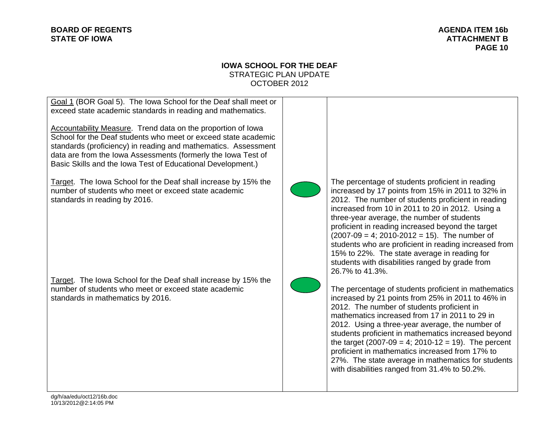# **IOWA SCHOOL FOR THE DEAF** STRATEGIC PLAN UPDATE OCTOBER 2012

| Goal 1 (BOR Goal 5). The lowa School for the Deaf shall meet or<br>exceed state academic standards in reading and mathematics. |
|--------------------------------------------------------------------------------------------------------------------------------|
| Accountability Measure. Trend data on the proportion of Iowa<br>School for the Deaf students who meet or exceed state academic |
| standards (proficiency) in reading and mathematics. Assessment                                                                 |
| data are from the Iowa Assessments (formerly the Iowa Test of                                                                  |

Basic Skills and the Iowa Test of Educational Development.)

Target. The Iowa School for the Deaf shall increase by 15% the number of students who meet or exceed state academic standards in reading by 2016.

Target. The Iowa School for the Deaf shall increase by 15% the number of students who meet or exceed state academic standards in mathematics by 2016.



The percentage of students proficient in reading increased by 17 points from 15% in 2011 to 32% in 2012. The number of students proficient in reading increased from 10 in 2011 to 20 in 2012. Using a three-year average, the number of students proficient in reading increased beyond the target  $(2007-09 = 4; 2010-2012 = 15)$ . The number of students who are proficient in reading increased from 15% to 22%. The state average in reading for students with disabilities ranged by grade from 26.7% to 41.3%.



The percentage of students proficient in mathematics increased by 21 points from 25% in 2011 to 46% in 2012. The number of students proficient in mathematics increased from 17 in 2011 to 29 in 2012. Using a three-year average, the number of students proficient in mathematics increased beyond the target  $(2007-09 = 4; 2010-12 = 19)$ . The percent proficient in mathematics increased from 17% to 27%. The state average in mathematics for students with disabilities ranged from 31.4% to 50.2%.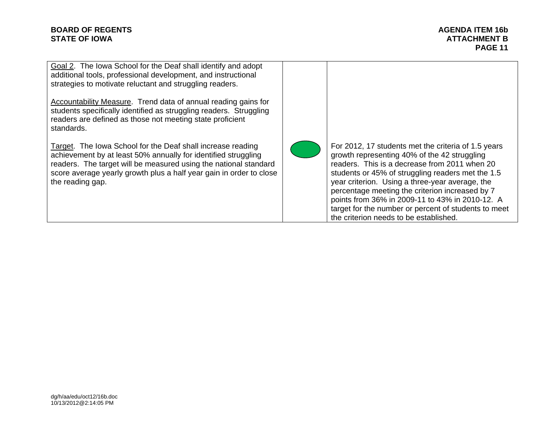# **BOARD OF REGENTS** AGENUS AGENDA ITEM 16b **STATE OF IOWA** ATTACHMENT B AND A STATE OF IOWA

**PAGE 11** 

Goal 2. The Iowa School for the Deaf shall identify and adopt additional tools, professional development, and instructional strategies to motivate reluctant and struggling readers. Accountability Measure. Trend data of annual reading gains for students specifically identified as struggling readers. Struggling readers are defined as those not meeting state proficient standards. Target. The Iowa School for the Deaf shall increase reading achievement by at least 50% annually for identified struggling readers. The target will be measured using the national standard score average yearly growth plus a half year gain in order to close the reading gap. For 2012, 17 students met the criteria of 1.5 years growth representing 40% of the 42 struggling readers. This is a decrease from 2011 when 20 students or 45% of struggling readers met the 1.5 year criterion. Using a three-year average, the percentage meeting the criterion increased by 7 points from 36% in 2009-11 to 43% in 2010-12. A target for the number or percent of students to meet the criterion needs to be established.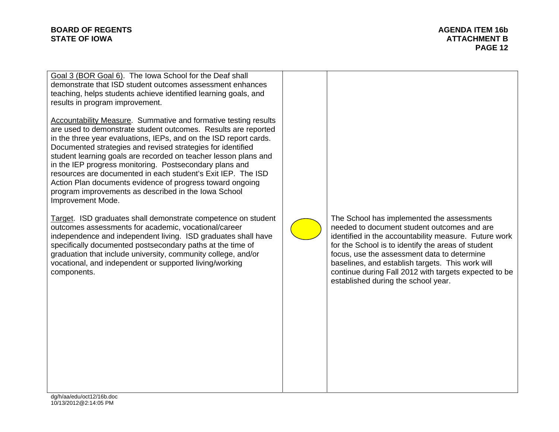### **BOARD OF REGENTS** AGENDA ITEM 16b **STATE OF IOWA** AND **ATTACHMENT B**

Goal 3 (BOR Goal 6). The Iowa School for the Deaf shall demonstrate that ISD student outcomes assessment enhances teaching, helps students achieve identified learning goals, and results in program improvement.

Accountability Measure. Summative and formative testing results are used to demonstrate student outcomes. Results are reported in the three year evaluations, IEPs, and on the ISD report cards. Documented strategies and revised strategies for identified student learning goals are recorded on teacher lesson plans and in the IEP progress monitoring. Postsecondary plans and resources are documented in each student's Exit IEP. The ISD Action Plan documents evidence of progress toward ongoing program improvements as described in the Iowa School Improvement Mode.

Target. ISD graduates shall demonstrate competence on student outcomes assessments for academic, vocational/career independence and independent living. ISD graduates shall have specifically documented postsecondary paths at the time of graduation that include university, community college, and/or vocational, and independent or supported living/working components.

The School has implemented the assessments needed to document student outcomes and are identified in the accountability measure. Future work for the School is to identify the areas of student focus, use the assessment data to determine baselines, and establish targets. This work will continue during Fall 2012 with targets expected to be established during the school year.